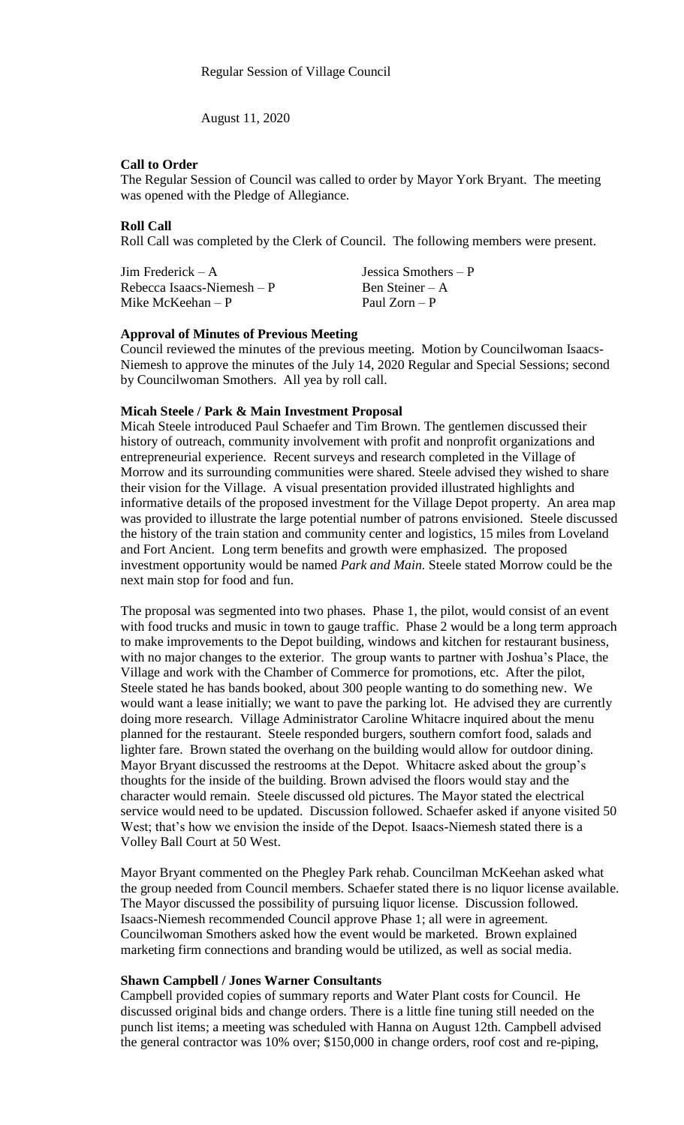August 11, 2020

## **Call to Order**

The Regular Session of Council was called to order by Mayor York Bryant. The meeting was opened with the Pledge of Allegiance.

#### **Roll Call**

Roll Call was completed by the Clerk of Council. The following members were present.

Jim Frederick – A Jessica Smothers – P  $Rebecca Isaacs-Niemesh - P$  Ben Steiner – A Mike McKeehan – P Paul Zorn – P

#### **Approval of Minutes of Previous Meeting**

Council reviewed the minutes of the previous meeting. Motion by Councilwoman Isaacs-Niemesh to approve the minutes of the July 14, 2020 Regular and Special Sessions; second by Councilwoman Smothers. All yea by roll call.

## **Micah Steele / Park & Main Investment Proposal**

Micah Steele introduced Paul Schaefer and Tim Brown. The gentlemen discussed their history of outreach, community involvement with profit and nonprofit organizations and entrepreneurial experience. Recent surveys and research completed in the Village of Morrow and its surrounding communities were shared. Steele advised they wished to share their vision for the Village. A visual presentation provided illustrated highlights and informative details of the proposed investment for the Village Depot property. An area map was provided to illustrate the large potential number of patrons envisioned. Steele discussed the history of the train station and community center and logistics, 15 miles from Loveland and Fort Ancient. Long term benefits and growth were emphasized. The proposed investment opportunity would be named *Park and Main.* Steele stated Morrow could be the next main stop for food and fun.

The proposal was segmented into two phases. Phase 1, the pilot, would consist of an event with food trucks and music in town to gauge traffic. Phase 2 would be a long term approach to make improvements to the Depot building, windows and kitchen for restaurant business, with no major changes to the exterior. The group wants to partner with Joshua's Place, the Village and work with the Chamber of Commerce for promotions, etc. After the pilot, Steele stated he has bands booked, about 300 people wanting to do something new. We would want a lease initially; we want to pave the parking lot. He advised they are currently doing more research. Village Administrator Caroline Whitacre inquired about the menu planned for the restaurant. Steele responded burgers, southern comfort food, salads and lighter fare. Brown stated the overhang on the building would allow for outdoor dining. Mayor Bryant discussed the restrooms at the Depot. Whitacre asked about the group's thoughts for the inside of the building. Brown advised the floors would stay and the character would remain. Steele discussed old pictures. The Mayor stated the electrical service would need to be updated. Discussion followed. Schaefer asked if anyone visited 50 West; that's how we envision the inside of the Depot. Isaacs-Niemesh stated there is a Volley Ball Court at 50 West.

Mayor Bryant commented on the Phegley Park rehab. Councilman McKeehan asked what the group needed from Council members. Schaefer stated there is no liquor license available. The Mayor discussed the possibility of pursuing liquor license. Discussion followed. Isaacs-Niemesh recommended Council approve Phase 1; all were in agreement. Councilwoman Smothers asked how the event would be marketed. Brown explained marketing firm connections and branding would be utilized, as well as social media.

## **Shawn Campbell / Jones Warner Consultants**

Campbell provided copies of summary reports and Water Plant costs for Council. He discussed original bids and change orders. There is a little fine tuning still needed on the punch list items; a meeting was scheduled with Hanna on August 12th. Campbell advised the general contractor was 10% over; \$150,000 in change orders, roof cost and re-piping,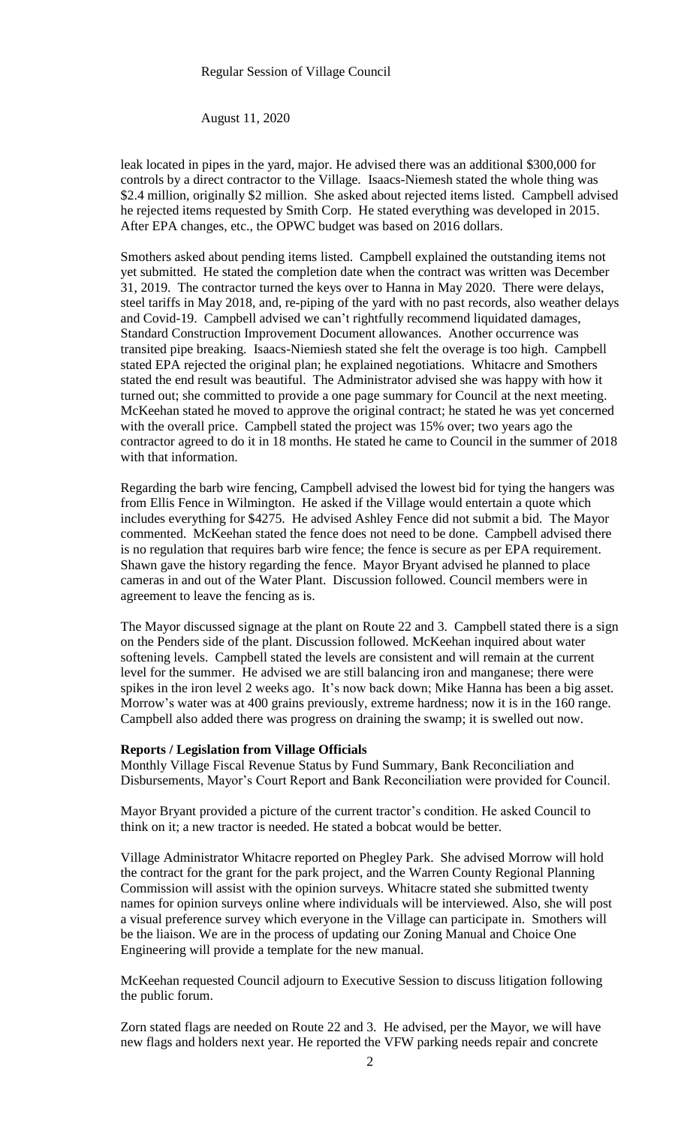#### Regular Session of Village Council

August 11, 2020

leak located in pipes in the yard, major. He advised there was an additional \$300,000 for controls by a direct contractor to the Village. Isaacs-Niemesh stated the whole thing was \$2.4 million, originally \$2 million. She asked about rejected items listed. Campbell advised he rejected items requested by Smith Corp. He stated everything was developed in 2015. After EPA changes, etc., the OPWC budget was based on 2016 dollars.

Smothers asked about pending items listed. Campbell explained the outstanding items not yet submitted. He stated the completion date when the contract was written was December 31, 2019. The contractor turned the keys over to Hanna in May 2020. There were delays, steel tariffs in May 2018, and, re-piping of the yard with no past records, also weather delays and Covid-19. Campbell advised we can't rightfully recommend liquidated damages, Standard Construction Improvement Document allowances. Another occurrence was transited pipe breaking. Isaacs-Niemiesh stated she felt the overage is too high. Campbell stated EPA rejected the original plan; he explained negotiations. Whitacre and Smothers stated the end result was beautiful. The Administrator advised she was happy with how it turned out; she committed to provide a one page summary for Council at the next meeting. McKeehan stated he moved to approve the original contract; he stated he was yet concerned with the overall price. Campbell stated the project was 15% over; two years ago the contractor agreed to do it in 18 months. He stated he came to Council in the summer of 2018 with that information.

Regarding the barb wire fencing, Campbell advised the lowest bid for tying the hangers was from Ellis Fence in Wilmington. He asked if the Village would entertain a quote which includes everything for \$4275. He advised Ashley Fence did not submit a bid. The Mayor commented. McKeehan stated the fence does not need to be done. Campbell advised there is no regulation that requires barb wire fence; the fence is secure as per EPA requirement. Shawn gave the history regarding the fence. Mayor Bryant advised he planned to place cameras in and out of the Water Plant. Discussion followed. Council members were in agreement to leave the fencing as is.

The Mayor discussed signage at the plant on Route 22 and 3. Campbell stated there is a sign on the Penders side of the plant. Discussion followed. McKeehan inquired about water softening levels. Campbell stated the levels are consistent and will remain at the current level for the summer. He advised we are still balancing iron and manganese; there were spikes in the iron level 2 weeks ago. It's now back down; Mike Hanna has been a big asset. Morrow's water was at 400 grains previously, extreme hardness; now it is in the 160 range. Campbell also added there was progress on draining the swamp; it is swelled out now.

#### **Reports / Legislation from Village Officials**

Monthly Village Fiscal Revenue Status by Fund Summary, Bank Reconciliation and Disbursements, Mayor's Court Report and Bank Reconciliation were provided for Council.

Mayor Bryant provided a picture of the current tractor's condition. He asked Council to think on it; a new tractor is needed. He stated a bobcat would be better.

Village Administrator Whitacre reported on Phegley Park. She advised Morrow will hold the contract for the grant for the park project, and the Warren County Regional Planning Commission will assist with the opinion surveys. Whitacre stated she submitted twenty names for opinion surveys online where individuals will be interviewed. Also, she will post a visual preference survey which everyone in the Village can participate in. Smothers will be the liaison. We are in the process of updating our Zoning Manual and Choice One Engineering will provide a template for the new manual.

McKeehan requested Council adjourn to Executive Session to discuss litigation following the public forum.

Zorn stated flags are needed on Route 22 and 3. He advised, per the Mayor, we will have new flags and holders next year. He reported the VFW parking needs repair and concrete